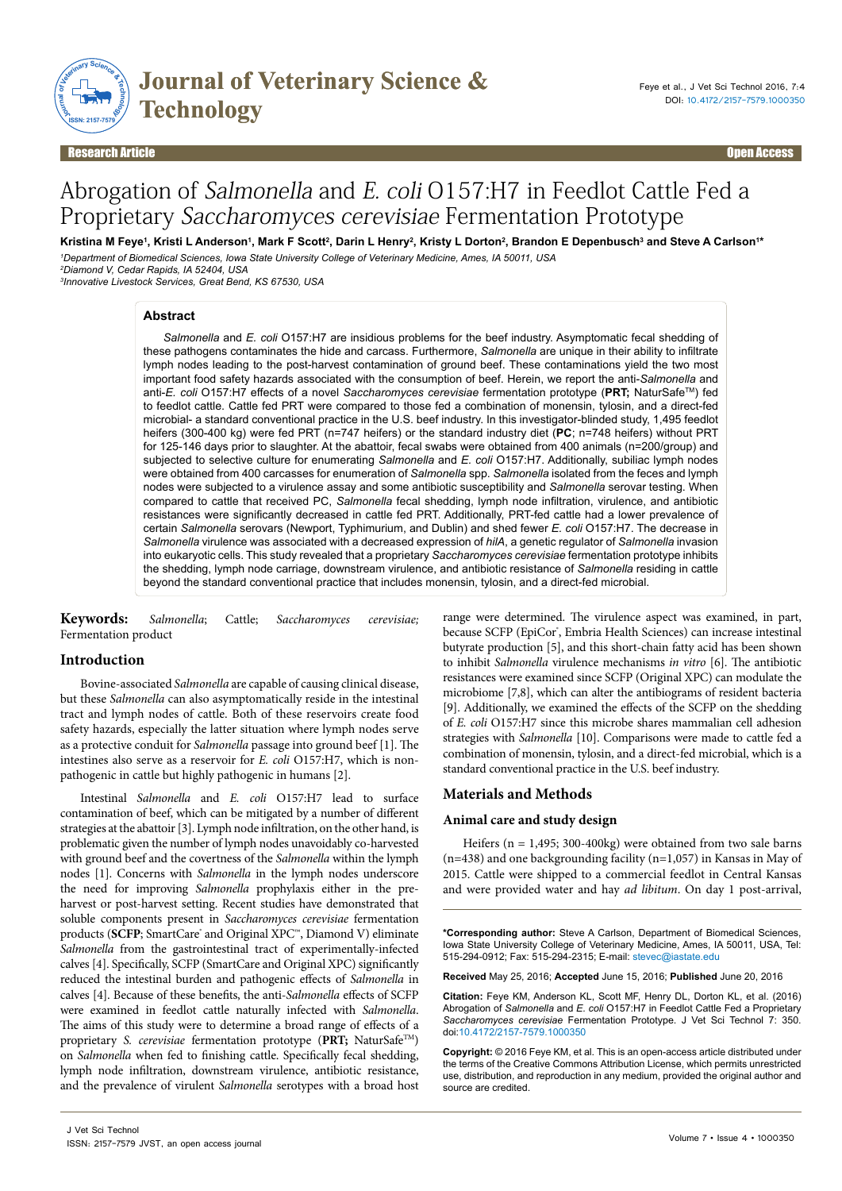

Research Article Open Access

# Abrogation of Salmonella and E. coli O157:H7 in Feedlot Cattle Fed a Proprietary Saccharomyces cerevisiae Fermentation Prototype

Kristina M Feye<sup>1</sup>, Kristi L Anderson<sup>1</sup>, Mark F Scott<sup>2</sup>, Darin L Henry<sup>2</sup>, Kristy L Dorton<sup>2</sup>, Brandon E Depenbusch<sup>3</sup> and Steve A Carlson<sup>1</sup> *1 Department of Biomedical Sciences, Iowa State University College of Veterinary Medicine, Ames, IA 50011, USA 2 Diamond V, Cedar Rapids, IA 52404, USA*

*3 Innovative Livestock Services, Great Bend, KS 67530, USA*

### **Abstract**

*Salmonella* and *E. coli* O157:H7 are insidious problems for the beef industry. Asymptomatic fecal shedding of these pathogens contaminates the hide and carcass. Furthermore, *Salmonella* are unique in their ability to infiltrate lymph nodes leading to the post-harvest contamination of ground beef. These contaminations yield the two most important food safety hazards associated with the consumption of beef. Herein, we report the anti-*Salmonella* and anti-*E. coli* O157:H7 effects of a novel *Saccharomyces cerevisiae* fermentation prototype (**PRT;** NaturSafeTM) fed to feedlot cattle. Cattle fed PRT were compared to those fed a combination of monensin, tylosin, and a direct-fed microbial- a standard conventional practice in the U.S. beef industry. In this investigator-blinded study, 1,495 feedlot heifers (300-400 kg) were fed PRT (n=747 heifers) or the standard industry diet (**PC**; n=748 heifers) without PRT for 125-146 days prior to slaughter. At the abattoir, fecal swabs were obtained from 400 animals (n=200/group) and subjected to selective culture for enumerating *Salmonella* and *E. coli* O157:H7. Additionally, subiliac lymph nodes were obtained from 400 carcasses for enumeration of *Salmonella* spp. *Salmonella* isolated from the feces and lymph nodes were subjected to a virulence assay and some antibiotic susceptibility and *Salmonella* serovar testing. When compared to cattle that received PC, *Salmonella* fecal shedding, lymph node infiltration, virulence, and antibiotic resistances were significantly decreased in cattle fed PRT. Additionally, PRT-fed cattle had a lower prevalence of certain *Salmonella* serovars (Newport, Typhimurium, and Dublin) and shed fewer *E. coli* O157:H7. The decrease in *Salmonella* virulence was associated with a decreased expression of *hilA*, a genetic regulator of *Salmonella* invasion into eukaryotic cells. This study revealed that a proprietary *Saccharomyces cerevisiae* fermentation prototype inhibits the shedding, lymph node carriage, downstream virulence, and antibiotic resistance of *Salmonella* residing in cattle beyond the standard conventional practice that includes monensin, tylosin, and a direct-fed microbial.

**Keywords:** *Salmonella*; Cattle; *Saccharomyces cerevisiae;* Fermentation product

# **Introduction**

Bovine-associated *Salmonella* are capable of causing clinical disease, but these *Salmonella* can also asymptomatically reside in the intestinal tract and lymph nodes of cattle. Both of these reservoirs create food safety hazards, especially the latter situation where lymph nodes serve as a protective conduit for *Salmonella* passage into ground beef [1]. The intestines also serve as a reservoir for *E. coli* O157:H7, which is nonpathogenic in cattle but highly pathogenic in humans [2].

Intestinal *Salmonella* and *E. coli* O157:H7 lead to surface contamination of beef, which can be mitigated by a number of different strategies at the abattoir [3]. Lymph node infiltration, on the other hand, is problematic given the number of lymph nodes unavoidably co-harvested with ground beef and the covertness of the *Salmonella* within the lymph nodes [1]. Concerns with *Salmonella* in the lymph nodes underscore the need for improving *Salmonella* prophylaxis either in the preharvest or post-harvest setting. Recent studies have demonstrated that soluble components present in *Saccharomyces cerevisiae* fermentation products (SCFP; SmartCare® and Original XPC™, Diamond V) eliminate *Salmonella* from the gastrointestinal tract of experimentally-infected calves [4]. Specifically, SCFP (SmartCare and Original XPC) significantly reduced the intestinal burden and pathogenic effects of *Salmonella* in calves [4]. Because of these benefits, the anti-*Salmonella* effects of SCFP were examined in feedlot cattle naturally infected with *Salmonella*. The aims of this study were to determine a broad range of effects of a proprietary *S. cerevisiae* fermentation prototype (**PRT;** NaturSafeTM) on *Salmonella* when fed to finishing cattle. Specifically fecal shedding, lymph node infiltration, downstream virulence, antibiotic resistance, and the prevalence of virulent *Salmonella* serotypes with a broad host

range were determined. The virulence aspect was examined, in part, because SCFP (EpiCor<sup>\*</sup>, Embria Health Sciences) can increase intestinal butyrate production [5], and this short-chain fatty acid has been shown to inhibit *Salmonella* virulence mechanisms *in vitro* [6]. The antibiotic resistances were examined since SCFP (Original XPC) can modulate the microbiome [7,8], which can alter the antibiograms of resident bacteria [9]. Additionally, we examined the effects of the SCFP on the shedding of *E. coli* O157:H7 since this microbe shares mammalian cell adhesion strategies with *Salmonella* [10]. Comparisons were made to cattle fed a combination of monensin, tylosin, and a direct-fed microbial, which is a standard conventional practice in the U.S. beef industry.

# **Materials and Methods**

### **Animal care and study design**

Heifers (n = 1,495; 300-400kg) were obtained from two sale barns  $(n=438)$  and one backgrounding facility  $(n=1,057)$  in Kansas in May of 2015. Cattle were shipped to a commercial feedlot in Central Kansas and were provided water and hay *ad libitum*. On day 1 post-arrival,

**\*Corresponding author:** Steve A Carlson, Department of Biomedical Sciences, Iowa State University College of Veterinary Medicine, Ames, IA 50011, USA, Tel: 515-294-0912; Fax: 515-294-2315; E-mail: stevec@iastate.edu

**Received** May 25, 2016; **Accepted** June 15, 2016; **Published** June 20, 2016

**Citation:** Feye KM, Anderson KL, Scott MF, Henry DL, Dorton KL, et al. (2016) Abrogation of *Salmonella* and *E. coli* O157:H7 in Feedlot Cattle Fed a Proprietary *Saccharomyces cerevisiae* Fermentation Prototype. J Vet Sci Technol 7: 350. doi:10.4172/2157-7579.1000350

**Copyright:** © 2016 Feye KM, et al. This is an open-access article distributed under the terms of the Creative Commons Attribution License, which permits unrestricted use, distribution, and reproduction in any medium, provided the original author and source are credited.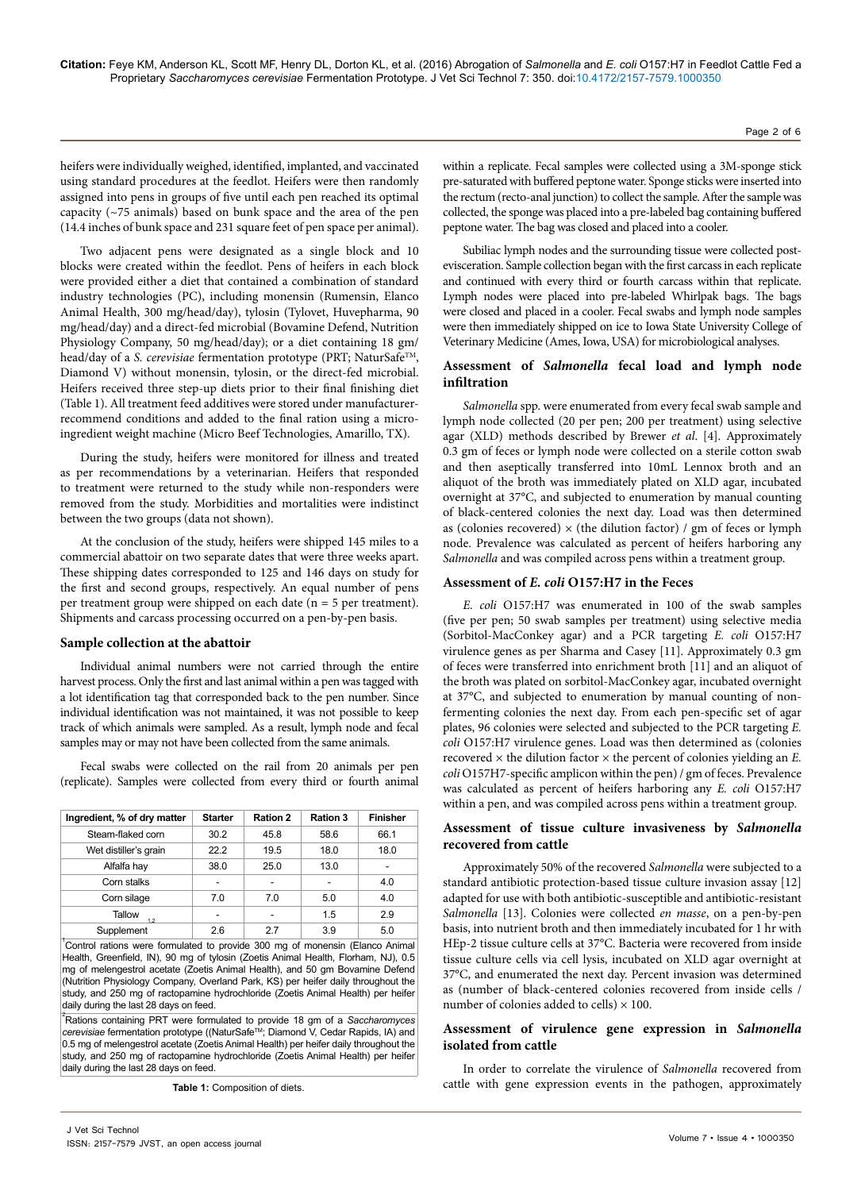heifers were individually weighed, identified, implanted, and vaccinated using standard procedures at the feedlot. Heifers were then randomly assigned into pens in groups of five until each pen reached its optimal capacity (~75 animals) based on bunk space and the area of the pen (14.4 inches of bunk space and 231 square feet of pen space per animal).

Two adjacent pens were designated as a single block and 10 blocks were created within the feedlot. Pens of heifers in each block were provided either a diet that contained a combination of standard industry technologies (PC), including monensin (Rumensin, Elanco Animal Health, 300 mg/head/day), tylosin (Tylovet, Huvepharma, 90 mg/head/day) and a direct-fed microbial (Bovamine Defend, Nutrition Physiology Company, 50 mg/head/day); or a diet containing 18 gm/ head/day of a *S. cerevisiae* fermentation prototype (PRT; NaturSafe<sup>TM</sup>, Diamond V) without monensin, tylosin, or the direct-fed microbial. Heifers received three step-up diets prior to their final finishing diet (Table 1). All treatment feed additives were stored under manufacturerrecommend conditions and added to the final ration using a microingredient weight machine (Micro Beef Technologies, Amarillo, TX).

During the study, heifers were monitored for illness and treated as per recommendations by a veterinarian. Heifers that responded to treatment were returned to the study while non-responders were removed from the study. Morbidities and mortalities were indistinct between the two groups (data not shown).

At the conclusion of the study, heifers were shipped 145 miles to a commercial abattoir on two separate dates that were three weeks apart. These shipping dates corresponded to 125 and 146 days on study for the first and second groups, respectively. An equal number of pens per treatment group were shipped on each date (n = 5 per treatment). Shipments and carcass processing occurred on a pen-by-pen basis.

### **Sample collection at the abattoir**

Individual animal numbers were not carried through the entire harvest process. Only the first and last animal within a pen was tagged with a lot identification tag that corresponded back to the pen number. Since individual identification was not maintained, it was not possible to keep track of which animals were sampled. As a result, lymph node and fecal samples may or may not have been collected from the same animals.

Fecal swabs were collected on the rail from 20 animals per pen (replicate). Samples were collected from every third or fourth animal

| Ingredient, % of dry matter | <b>Starter</b> | <b>Ration 2</b> | Ration 3 | <b>Finisher</b> |
|-----------------------------|----------------|-----------------|----------|-----------------|
| Steam-flaked corn           | 30.2           | 45.8            | 58.6     | 66.1            |
| Wet distiller's grain       | 22.2           | 19.5            | 18.0     | 18.0            |
| Alfalfa hay                 | 38.0           | 25.0            | 13.0     |                 |
| Corn stalks                 |                | -               | -        | 4.0             |
| Corn silage                 | 7.0            | 7.0             | 5.0      | 4.0             |
| Tallow<br>12                |                |                 | 1.5      | 2.9             |
| Supplement                  | 2.6            | 27              | 3.9      | 5.0             |

1 Control rations were formulated to provide 300 mg of monensin (Elanco Animal Health, Greenfield, IN), 90 mg of tylosin (Zoetis Animal Health, Florham, NJ), 0.5 mg of melengestrol acetate (Zoetis Animal Health), and 50 gm Bovamine Defend (Nutrition Physiology Company, Overland Park, KS) per heifer daily throughout the study, and 250 mg of ractopamine hydrochloride (Zoetis Animal Health) per heifer daily during the last 28 days on feed.

2 Rations containing PRT were formulated to provide 18 gm of a *Saccharomyces cerevisiae* fermentation prototype ((NaturSafeTM; Diamond V, Cedar Rapids, IA) and 0.5 mg of melengestrol acetate (Zoetis Animal Health) per heifer daily throughout the study, and 250 mg of ractopamine hydrochloride (Zoetis Animal Health) per heifer daily during the last 28 days on feed.

**Table 1:** Composition of diets.

within a replicate. Fecal samples were collected using a 3M-sponge stick pre-saturated with buffered peptone water. Sponge sticks were inserted into the rectum (recto-anal junction) to collect the sample. After the sample was collected, the sponge was placed into a pre-labeled bag containing buffered peptone water. The bag was closed and placed into a cooler.

Subiliac lymph nodes and the surrounding tissue were collected postevisceration. Sample collection began with the first carcass in each replicate and continued with every third or fourth carcass within that replicate. Lymph nodes were placed into pre-labeled Whirlpak bags. The bags were closed and placed in a cooler. Fecal swabs and lymph node samples were then immediately shipped on ice to Iowa State University College of Veterinary Medicine (Ames, Iowa, USA) for microbiological analyses.

## **Assessment of** *Salmonella* **fecal load and lymph node infiltration**

*Salmonella* spp. were enumerated from every fecal swab sample and lymph node collected (20 per pen; 200 per treatment) using selective agar (XLD) methods described by Brewer *et al*. [4]. Approximately 0.3 gm of feces or lymph node were collected on a sterile cotton swab and then aseptically transferred into 10mL Lennox broth and an aliquot of the broth was immediately plated on XLD agar, incubated overnight at 37°C, and subjected to enumeration by manual counting of black-centered colonies the next day. Load was then determined as (colonies recovered)  $\times$  (the dilution factor) / gm of feces or lymph node. Prevalence was calculated as percent of heifers harboring any *Salmonella* and was compiled across pens within a treatment group.

### **Assessment of** *E. coli* **O157:H7 in the Feces**

*E. coli* O157:H7 was enumerated in 100 of the swab samples (five per pen; 50 swab samples per treatment) using selective media (Sorbitol-MacConkey agar) and a PCR targeting *E. coli* O157:H7 virulence genes as per Sharma and Casey [11]. Approximately 0.3 gm of feces were transferred into enrichment broth [11] and an aliquot of the broth was plated on sorbitol-MacConkey agar, incubated overnight at 37°C, and subjected to enumeration by manual counting of nonfermenting colonies the next day. From each pen-specific set of agar plates, 96 colonies were selected and subjected to the PCR targeting *E. coli* O157:H7 virulence genes. Load was then determined as (colonies recovered  $\times$  the dilution factor  $\times$  the percent of colonies yielding an *E*. *coli* O157H7-specific amplicon within the pen) / gm of feces. Prevalence was calculated as percent of heifers harboring any *E. coli* O157:H7 within a pen, and was compiled across pens within a treatment group.

# **Assessment of tissue culture invasiveness by** *Salmonella* **recovered from cattle**

Approximately 50% of the recovered *Salmonella* were subjected to a standard antibiotic protection-based tissue culture invasion assay [12] adapted for use with both antibiotic-susceptible and antibiotic-resistant *Salmonella* [13]. Colonies were collected *en masse*, on a pen-by-pen basis, into nutrient broth and then immediately incubated for 1 hr with HEp-2 tissue culture cells at 37°C. Bacteria were recovered from inside tissue culture cells via cell lysis, incubated on XLD agar overnight at 37°C, and enumerated the next day. Percent invasion was determined as (number of black-centered colonies recovered from inside cells / number of colonies added to cells)  $\times$  100.

# **Assessment of virulence gene expression in** *Salmonella* **isolated from cattle**

In order to correlate the virulence of *Salmonella* recovered from cattle with gene expression events in the pathogen, approximately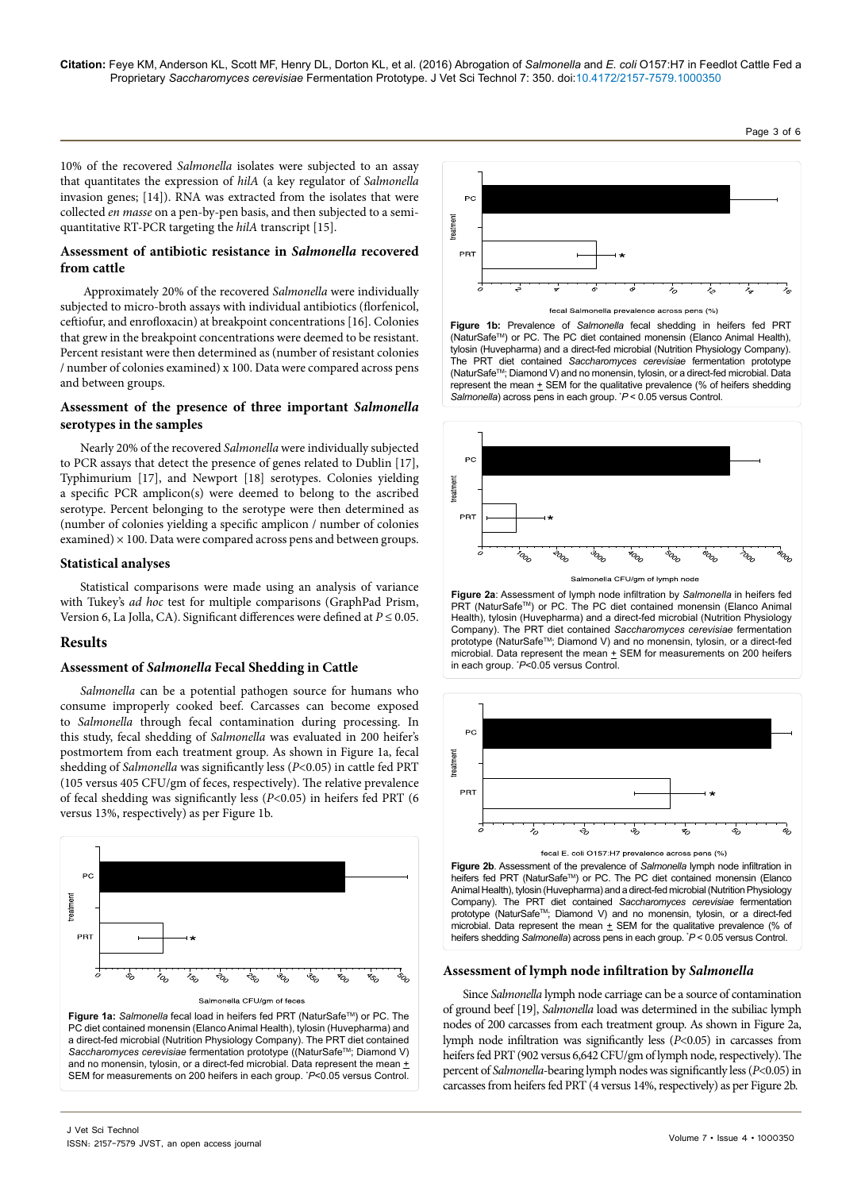10% of the recovered *Salmonella* isolates were subjected to an assay that quantitates the expression of *hilA* (a key regulator of *Salmonella* invasion genes; [14]). RNA was extracted from the isolates that were collected *en masse* on a pen-by-pen basis, and then subjected to a semiquantitative RT-PCR targeting the *hilA* transcript [15].

# **Assessment of antibiotic resistance in** *Salmonella* **recovered from cattle**

 Approximately 20% of the recovered *Salmonella* were individually subjected to micro-broth assays with individual antibiotics (florfenicol, ceftiofur, and enrofloxacin) at breakpoint concentrations [16]. Colonies that grew in the breakpoint concentrations were deemed to be resistant. Percent resistant were then determined as (number of resistant colonies / number of colonies examined) x 100. Data were compared across pens and between groups.

# **Assessment of the presence of three important** *Salmonella* **serotypes in the samples**

Nearly 20% of the recovered *Salmonella* were individually subjected to PCR assays that detect the presence of genes related to Dublin [17], Typhimurium [17], and Newport [18] serotypes. Colonies yielding a specific PCR amplicon(s) were deemed to belong to the ascribed serotype. Percent belonging to the serotype were then determined as (number of colonies yielding a specific amplicon / number of colonies examined)  $\times$  100. Data were compared across pens and between groups.

# **Statistical analyses**

Statistical comparisons were made using an analysis of variance with Tukey's *ad hoc* test for multiple comparisons (GraphPad Prism, Version 6, La Jolla, CA). Significant differences were defined at  $P \le 0.05$ .

# **Results**

# **Assessment of** *Salmonella* **Fecal Shedding in Cattle**

*Salmonella* can be a potential pathogen source for humans who consume improperly cooked beef. Carcasses can become exposed to *Salmonella* through fecal contamination during processing. In this study, fecal shedding of *Salmonella* was evaluated in 200 heifer's postmortem from each treatment group. As shown in Figure 1a, fecal shedding of *Salmonella* was significantly less (*P*<0.05) in cattle fed PRT (105 versus 405 CFU/gm of feces, respectively). The relative prevalence of fecal shedding was significantly less (*P*<0.05) in heifers fed PRT (6 versus 13%, respectively) as per Figure 1b.







Page 3 of 6

**Figure 1b:** Prevalence of *Salmonella* fecal shedding in heifers fed PRT (NaturSafeTM) or PC. The PC diet contained monensin (Elanco Animal Health), tylosin (Huvepharma) and a direct-fed microbial (Nutrition Physiology Company). The PRT diet contained *Saccharomyces cerevisiae* fermentation prototype (NaturSafeTM; Diamond V) and no monensin, tylosin, or a direct-fed microbial. Data represent the mean  $\pm$  SEM for the qualitative prevalence (% of heifers shedding *Salmonella*) across pens in each group. \* *P* < 0.05 versus Control.



**Figure 2a**: Assessment of lymph node infiltration by *Salmonella* in heifers fed PRT (NaturSafe™) or PC. The PC diet contained monensin (Elanco Animal Health), tylosin (Huvepharma) and a direct-fed microbial (Nutrition Physiology Company). The PRT diet contained *Saccharomyces cerevisiae* fermentation prototype (NaturSafe™; Diamond V) and no monensin, tylosin, or a direct-fed microbial. Data represent the mean  $\pm$  SEM for measurements on 200 heifers in each group. \* *P*<0.05 versus Control.



heifers fed PRT (NaturSafe™) or PC. The PC diet contained monensin (Elanco Animal Health), tylosin (Huvepharma) and a direct-fed microbial (Nutrition Physiology Company). The PRT diet contained *Saccharomyces cerevisiae* fermentation prototype (NaturSafe™; Diamond V) and no monensin, tylosin, or a direct-fed microbial. Data represent the mean  $+$  SEM for the qualitative prevalence (% of heifers shedding *Salmonella*) across pens in each group. \* *P* < 0.05 versus Control.

## **Assessment of lymph node infiltration by** *Salmonella*

Since *Salmonella* lymph node carriage can be a source of contamination of ground beef [19], *Salmonella* load was determined in the subiliac lymph nodes of 200 carcasses from each treatment group. As shown in Figure 2a, lymph node infiltration was significantly less (*P*<0.05) in carcasses from heifers fed PRT (902 versus 6,642 CFU/gm of lymph node, respectively). The percent of *Salmonella*-bearing lymph nodes was significantly less (*P*<0.05) in carcasses from heifers fed PRT (4 versus 14%, respectively) as per Figure 2b.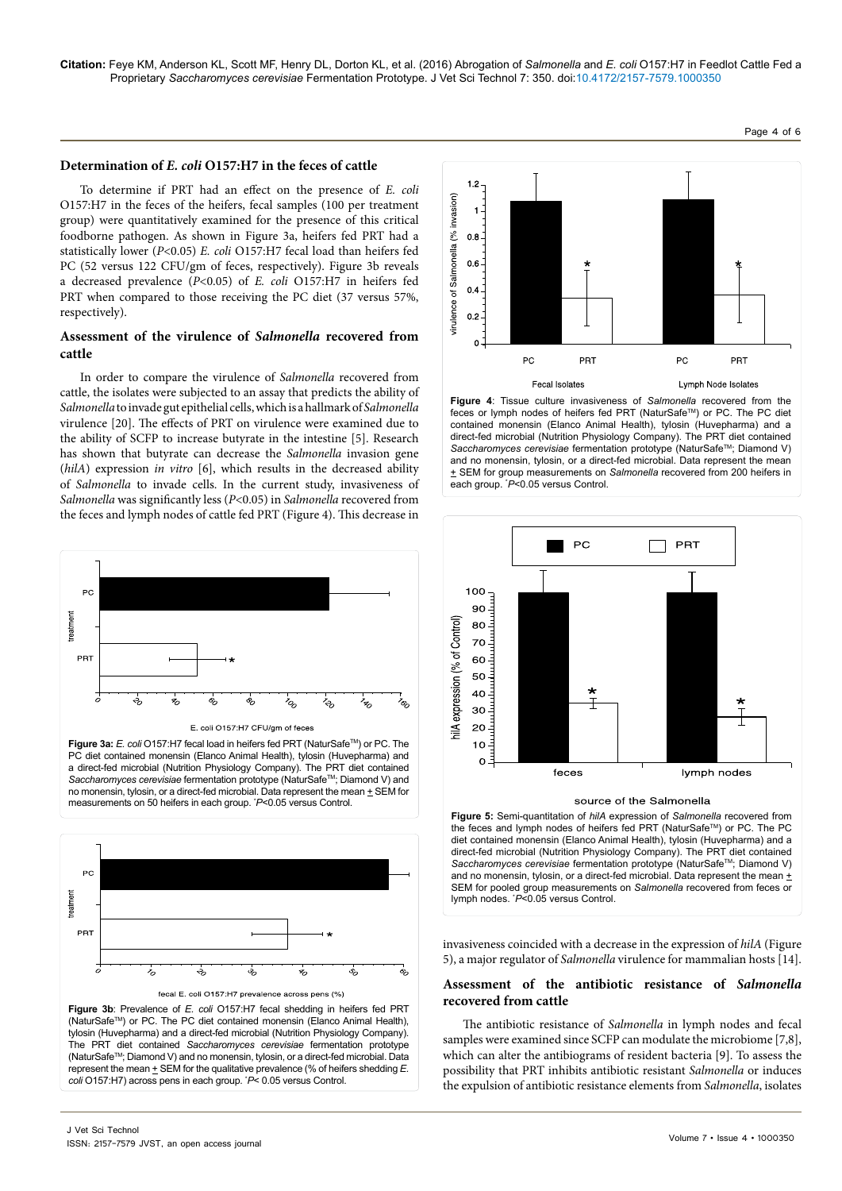#### **Determination of** *E. coli* **O157:H7 in the feces of cattle**

To determine if PRT had an effect on the presence of *E. coli* O157:H7 in the feces of the heifers, fecal samples (100 per treatment group) were quantitatively examined for the presence of this critical foodborne pathogen. As shown in Figure 3a, heifers fed PRT had a statistically lower (*P*<0.05) *E. coli* O157:H7 fecal load than heifers fed PC (52 versus 122 CFU/gm of feces, respectively). Figure 3b reveals a decreased prevalence (*P*<0.05) of *E. coli* O157:H7 in heifers fed PRT when compared to those receiving the PC diet (37 versus 57%, respectively).

# **Assessment of the virulence of** *Salmonella* **recovered from cattle**

In order to compare the virulence of *Salmonella* recovered from cattle, the isolates were subjected to an assay that predicts the ability of *Salmonella* to invade gut epithelial cells, which is a hallmark of *Salmonella* virulence [20]. The effects of PRT on virulence were examined due to the ability of SCFP to increase butyrate in the intestine [5]. Research has shown that butyrate can decrease the *Salmonella* invasion gene (*hilA*) expression *in vitro* [6], which results in the decreased ability of *Salmonella* to invade cells. In the current study, invasiveness of *Salmonella* was significantly less (*P*<0.05) in *Salmonella* recovered from the feces and lymph nodes of cattle fed PRT (Figure 4). This decrease in



Figure 3a: *E. coli* O157:H7 fecal load in heifers fed PRT (NaturSafe™) or PC. The PC diet contained monensin (Elanco Animal Health), tylosin (Huvepharma) and a direct-fed microbial (Nutrition Physiology Company). The PRT diet contained *Saccharomyces cerevisiae* fermentation prototype (NaturSafeTM; Diamond V) and no monensin, tylosin, or a direct-fed microbial. Data represent the mean  $\pm$  SEM for measurements on 50 heifers in each group. \* *P*<0.05 versus Control.







**Figure 4**: Tissue culture invasiveness of *Salmonella* recovered from the feces or lymph nodes of heifers fed PRT (NaturSafe™) or PC. The PC diet contained monensin (Elanco Animal Health), tylosin (Huvepharma) and a direct-fed microbial (Nutrition Physiology Company). The PRT diet contained Saccharomyces cerevisiae fermentation prototype (NaturSafe<sup>™</sup>; Diamond V) and no monensin, tylosin, or a direct-fed microbial. Data represent the mean  $±$  SEM for group measurements on *Salmonella* recovered from 200 heifers in each group. \* *P*<0.05 versus Control.



**Figure 5:** Semi-quantitation of *hilA* expression of *Salmonella* recovered from the feces and lymph nodes of heifers fed PRT (NaturSafe™) or PC. The PC diet contained monensin (Elanco Animal Health), tylosin (Huvepharma) and a direct-fed microbial (Nutrition Physiology Company). The PRT diet contained *Saccharomyces cerevisiae* fermentation prototype (NaturSafeTM; Diamond V) and no monensin, tylosin, or a direct-fed microbial. Data represent the mean  $\pm$ SEM for pooled group measurements on *Salmonella* recovered from feces or lymph nodes. \* *P*<0.05 versus Control.

invasiveness coincided with a decrease in the expression of *hilA* (Figure 5), a major regulator of *Salmonella* virulence for mammalian hosts [14].

### **Assessment of the antibiotic resistance of** *Salmonella* **recovered from cattle**

The antibiotic resistance of *Salmonella* in lymph nodes and fecal samples were examined since SCFP can modulate the microbiome [7,8], which can alter the antibiograms of resident bacteria [9]. To assess the possibility that PRT inhibits antibiotic resistant *Salmonella* or induces the expulsion of antibiotic resistance elements from *Salmonella*, isolates

Page 4 of 6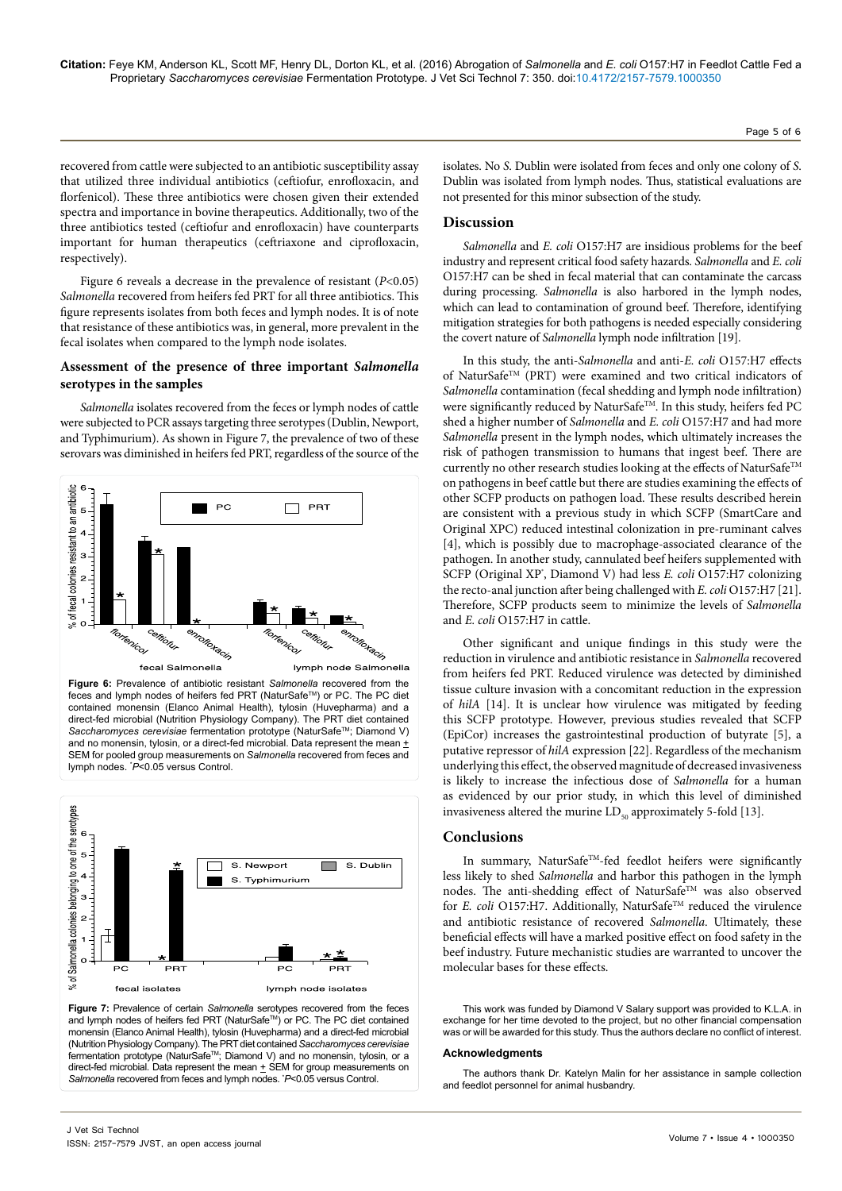**Citation:** Feye KM, Anderson KL, Scott MF, Henry DL, Dorton KL, et al. (2016) Abrogation of *Salmonella* and *E. coli* O157:H7 in Feedlot Cattle Fed a Proprietary *Saccharomyces cerevisiae* Fermentation Prototype. J Vet Sci Technol 7: 350. doi:10.4172/2157-7579.1000350

recovered from cattle were subjected to an antibiotic susceptibility assay that utilized three individual antibiotics (ceftiofur, enrofloxacin, and florfenicol). These three antibiotics were chosen given their extended spectra and importance in bovine therapeutics. Additionally, two of the three antibiotics tested (ceftiofur and enrofloxacin) have counterparts important for human therapeutics (ceftriaxone and ciprofloxacin, respectively).

Figure 6 reveals a decrease in the prevalence of resistant (*P*<0.05) *Salmonella* recovered from heifers fed PRT for all three antibiotics. This figure represents isolates from both feces and lymph nodes. It is of note that resistance of these antibiotics was, in general, more prevalent in the fecal isolates when compared to the lymph node isolates.

# **Assessment of the presence of three important** *Salmonella* **serotypes in the samples**

*Salmonella* isolates recovered from the feces or lymph nodes of cattle were subjected to PCR assays targeting three serotypes (Dublin, Newport, and Typhimurium). As shown in Figure 7, the prevalence of two of these serovars was diminished in heifers fed PRT, regardless of the source of the



**Figure 6:** Prevalence of antibiotic resistant *Salmonella* recovered from the feces and lymph nodes of heifers fed PRT (NaturSafe™) or PC. The PC diet contained monensin (Elanco Animal Health), tylosin (Huvepharma) and a direct-fed microbial (Nutrition Physiology Company). The PRT diet contained *Saccharomyces cerevisiae* fermentation prototype (NaturSafe™; Diamond V) and no monensin, tylosin, or a direct-fed microbial. Data represent the mean  $\pm$ SEM for pooled group measurements on *Salmonella* recovered from feces and lymph nodes. \* *P*<0.05 versus Control.



**Figure 7:** Prevalence of certain *Salmonella* serotypes recovered from the feces and lymph nodes of heifers fed PRT (NaturSafe™) or PC. The PC diet contained monensin (Elanco Animal Health), tylosin (Huvepharma) and a direct-fed microbial (Nutrition Physiology Company). The PRT diet contained *Saccharomyces cerevisiae* fermentation prototype (NaturSafeTM; Diamond V) and no monensin, tylosin, or a direct-fed microbial. Data represent the mean  $\pm$  SEM for group measurements on *Salmonella* recovered from feces and lymph nodes. \* *P*<0.05 versus Control.

Page 5 of 6

isolates. No *S*. Dublin were isolated from feces and only one colony of *S*. Dublin was isolated from lymph nodes. Thus, statistical evaluations are not presented for this minor subsection of the study.

## **Discussion**

*Salmonella* and *E. coli* O157:H7 are insidious problems for the beef industry and represent critical food safety hazards. *Salmonella* and *E. coli* O157:H7 can be shed in fecal material that can contaminate the carcass during processing. *Salmonella* is also harbored in the lymph nodes, which can lead to contamination of ground beef. Therefore, identifying mitigation strategies for both pathogens is needed especially considering the covert nature of *Salmonella* lymph node infiltration [19].

In this study, the anti-*Salmonella* and anti-*E. coli* O157:H7 effects of NaturSafeTM (PRT) were examined and two critical indicators of *Salmonella* contamination (fecal shedding and lymph node infiltration) were significantly reduced by NaturSafe<sup>TM</sup>. In this study, heifers fed PC shed a higher number of *Salmonella* and *E. coli* O157:H7 and had more *Salmonella* present in the lymph nodes, which ultimately increases the risk of pathogen transmission to humans that ingest beef. There are currently no other research studies looking at the effects of NaturSafeTM on pathogens in beef cattle but there are studies examining the effects of other SCFP products on pathogen load. These results described herein are consistent with a previous study in which SCFP (SmartCare and Original XPC) reduced intestinal colonization in pre-ruminant calves [4], which is possibly due to macrophage-associated clearance of the pathogen. In another study, cannulated beef heifers supplemented with SCFP (Original XP<sup>\*</sup>, Diamond V) had less *E. coli* O157:H7 colonizing the recto-anal junction after being challenged with *E. coli* O157:H7 [21]. Therefore, SCFP products seem to minimize the levels of *Salmonella* and *E. coli* O157:H7 in cattle.

Other significant and unique findings in this study were the reduction in virulence and antibiotic resistance in *Salmonella* recovered from heifers fed PRT. Reduced virulence was detected by diminished tissue culture invasion with a concomitant reduction in the expression of *hilA* [14]. It is unclear how virulence was mitigated by feeding this SCFP prototype. However, previous studies revealed that SCFP (EpiCor) increases the gastrointestinal production of butyrate [5], a putative repressor of *hilA* expression [22]. Regardless of the mechanism underlying this effect, the observed magnitude of decreased invasiveness is likely to increase the infectious dose of *Salmonella* for a human as evidenced by our prior study, in which this level of diminished invasiveness altered the murine  $LD_{50}$  approximately 5-fold [13].

### **Conclusions**

In summary, NaturSafe<sup>™</sup>-fed feedlot heifers were significantly less likely to shed *Salmonella* and harbor this pathogen in the lymph nodes. The anti-shedding effect of NaturSafe<sup>TM</sup> was also observed for *E. coli* O157:H7. Additionally, NaturSafe™ reduced the virulence and antibiotic resistance of recovered *Salmonella*. Ultimately, these beneficial effects will have a marked positive effect on food safety in the beef industry. Future mechanistic studies are warranted to uncover the molecular bases for these effects.

This work was funded by Diamond V Salary support was provided to K.L.A. in exchange for her time devoted to the project, but no other financial compensation was or will be awarded for this study. Thus the authors declare no conflict of interest.

#### **Acknowledgments**

The authors thank Dr. Katelyn Malin for her assistance in sample collection and feedlot personnel for animal husbandry.